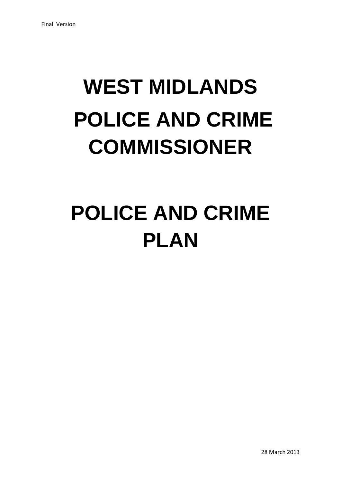# **WEST MIDLANDS POLICE AND CRIME COMMISSIONER**

# **POLICE AND CRIME PLAN**

28 March 2013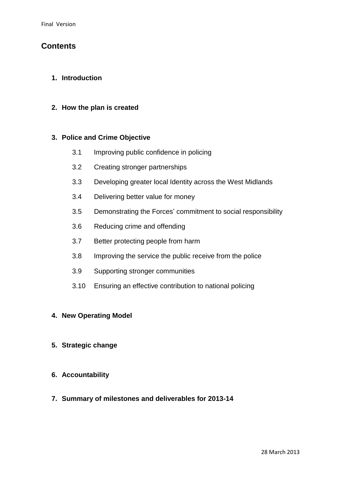## **Contents**

#### **1. Introduction**

#### **2. How the plan is created**

#### **3. Police and Crime Objective**

- 3.1 Improving public confidence in policing
- 3.2 Creating stronger partnerships
- 3.3 Developing greater local Identity across the West Midlands
- 3.4 Delivering better value for money
- 3.5 Demonstrating the Forces' commitment to social responsibility
- 3.6 Reducing crime and offending
- 3.7 Better protecting people from harm
- 3.8 Improving the service the public receive from the police
- 3.9 Supporting stronger communities
- 3.10 Ensuring an effective contribution to national policing

#### **4. New Operating Model**

- **5. Strategic change**
- **6. Accountability**
- **7. Summary of milestones and deliverables for 2013-14**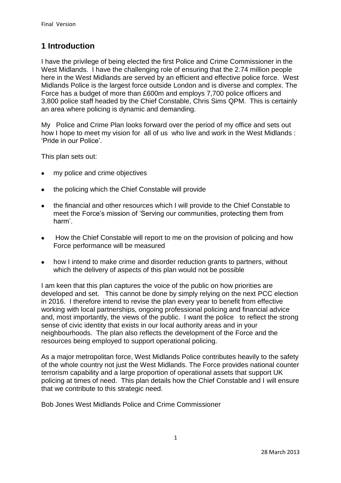## **1 Introduction**

I have the privilege of being elected the first Police and Crime Commissioner in the West Midlands. I have the challenging role of ensuring that the 2.74 million people here in the West Midlands are served by an efficient and effective police force. West Midlands Police is the largest force outside London and is diverse and complex. The Force has a budget of more than £600m and employs 7,700 police officers and 3,800 police staff headed by the Chief Constable, Chris Sims QPM. This is certainly an area where policing is dynamic and demanding.

My Police and Crime Plan looks forward over the period of my office and sets out how I hope to meet my vision for all of us who live and work in the West Midlands : 'Pride in our Police'.

This plan sets out:

- my police and crime objectives  $\bullet$
- the policing which the Chief Constable will provide  $\bullet$
- the financial and other resources which I will provide to the Chief Constable to  $\bullet$ meet the Force's mission of 'Serving our communities, protecting them from harm'.
- How the Chief Constable will report to me on the provision of policing and how  $\bullet$ Force performance will be measured
- how I intend to make crime and disorder reduction grants to partners, without which the delivery of aspects of this plan would not be possible

I am keen that this plan captures the voice of the public on how priorities are developed and set. This cannot be done by simply relying on the next PCC election in 2016. I therefore intend to revise the plan every year to benefit from effective working with local partnerships, ongoing professional policing and financial advice and, most importantly, the views of the public. I want the police to reflect the strong sense of civic identity that exists in our local authority areas and in your neighbourhoods. The plan also reflects the development of the Force and the resources being employed to support operational policing.

As a major metropolitan force, West Midlands Police contributes heavily to the safety of the whole country not just the West Midlands. The Force provides national counter terrorism capability and a large proportion of operational assets that support UK policing at times of need. This plan details how the Chief Constable and I will ensure that we contribute to this strategic need.

Bob Jones West Midlands Police and Crime Commissioner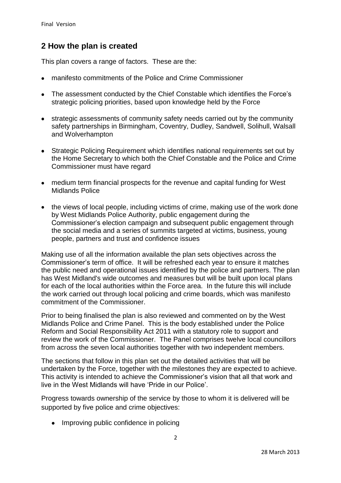## **2 How the plan is created**

This plan covers a range of factors. These are the:

- manifesto commitments of the Police and Crime Commissioner
- The assessment conducted by the Chief Constable which identifies the Force's strategic policing priorities, based upon knowledge held by the Force
- strategic assessments of community safety needs carried out by the community safety partnerships in Birmingham, Coventry, Dudley, Sandwell, Solihull, Walsall and Wolverhampton
- Strategic Policing Requirement which identifies national requirements set out by the Home Secretary to which both the Chief Constable and the Police and Crime Commissioner must have regard
- medium term financial prospects for the revenue and capital funding for West Midlands Police
- the views of local people, including victims of crime, making use of the work done by West Midlands Police Authority, public engagement during the Commissioner's election campaign and subsequent public engagement through the social media and a series of summits targeted at victims, business, young people, partners and trust and confidence issues

Making use of all the information available the plan sets objectives across the Commissioner's term of office. It will be refreshed each year to ensure it matches the public need and operational issues identified by the police and partners. The plan has West Midland's wide outcomes and measures but will be built upon local plans for each of the local authorities within the Force area. In the future this will include the work carried out through local policing and crime boards, which was manifesto commitment of the Commissioner.

Prior to being finalised the plan is also reviewed and commented on by the West Midlands Police and Crime Panel. This is the body established under the Police Reform and Social Responsibility Act 2011 with a statutory role to support and review the work of the Commissioner. The Panel comprises twelve local councillors from across the seven local authorities together with two independent members.

The sections that follow in this plan set out the detailed activities that will be undertaken by the Force, together with the milestones they are expected to achieve. This activity is intended to achieve the Commissioner's vision that all that work and live in the West Midlands will have 'Pride in our Police'.

Progress towards ownership of the service by those to whom it is delivered will be supported by five police and crime objectives:

• Improving public confidence in policing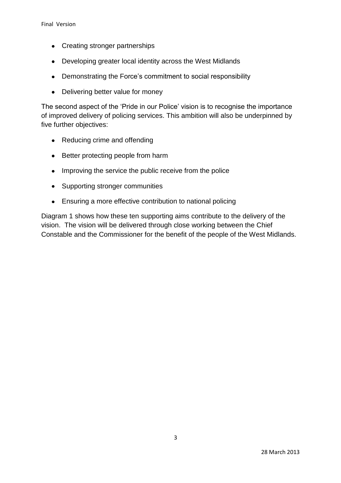- Creating stronger partnerships
- Developing greater local identity across the West Midlands
- Demonstrating the Force's commitment to social responsibility
- Delivering better value for money  $\bullet$

The second aspect of the 'Pride in our Police' vision is to recognise the importance of improved delivery of policing services. This ambition will also be underpinned by five further objectives:

- Reducing crime and offending
- Better protecting people from harm
- Improving the service the public receive from the police
- Supporting stronger communities
- Ensuring a more effective contribution to national policing

Diagram 1 shows how these ten supporting aims contribute to the delivery of the vision. The vision will be delivered through close working between the Chief Constable and the Commissioner for the benefit of the people of the West Midlands.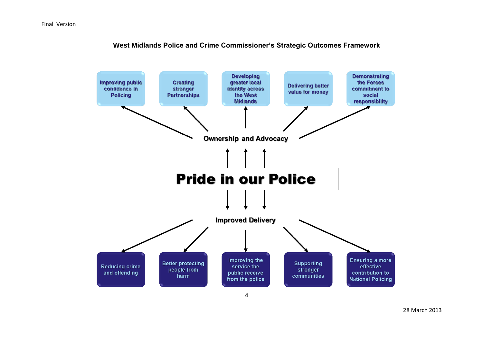

**West Midlands Police and Crime Commissioner's Strategic Outcomes Framework**

28 March 2013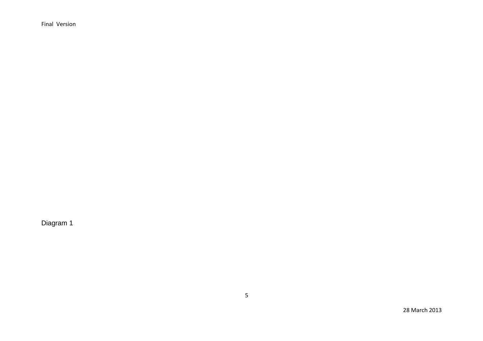Final Version

Diagram 1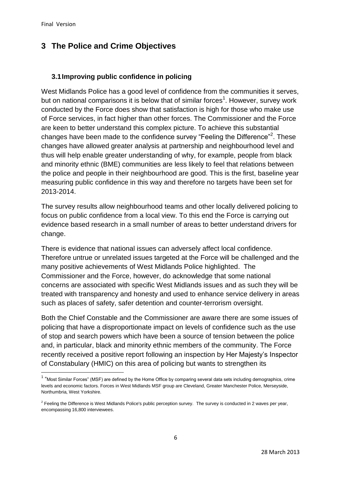**.** 

# **3 The Police and Crime Objectives**

## **3.1Improving public confidence in policing**

West Midlands Police has a good level of confidence from the communities it serves, but on national comparisons it is below that of similar forces<sup>1</sup>. However, survey work conducted by the Force does show that satisfaction is high for those who make use of Force services, in fact higher than other forces. The Commissioner and the Force are keen to better understand this complex picture. To achieve this substantial changes have been made to the confidence survey "Feeling the Difference"<sup>2</sup>. These changes have allowed greater analysis at partnership and neighbourhood level and thus will help enable greater understanding of why, for example, people from black and minority ethnic (BME) communities are less likely to feel that relations between the police and people in their neighbourhood are good. This is the first, baseline year measuring public confidence in this way and therefore no targets have been set for 2013-2014.

The survey results allow neighbourhood teams and other locally delivered policing to focus on public confidence from a local view. To this end the Force is carrying out evidence based research in a small number of areas to better understand drivers for change.

There is evidence that national issues can adversely affect local confidence. Therefore untrue or unrelated issues targeted at the Force will be challenged and the many positive achievements of West Midlands Police highlighted. The Commissioner and the Force, however, do acknowledge that some national concerns are associated with specific West Midlands issues and as such they will be treated with transparency and honesty and used to enhance service delivery in areas such as places of safety, safer detention and counter-terrorism oversight.

Both the Chief Constable and the Commissioner are aware there are some issues of policing that have a disproportionate impact on levels of confidence such as the use of stop and search powers which have been a source of tension between the police and, in particular, black and minority ethnic members of the community. The Force recently received a positive report following an inspection by Her Majesty's Inspector of Constabulary (HMIC) on this area of policing but wants to strengthen its

<sup>&</sup>lt;sup>1</sup> "Most Similar Forces" (MSF) are defined by the Home Office by comparing several data sets including demographics, crime levels and economic factors. Forces in West Midlands MSF group are Cleveland, Greater Manchester Police, Merseyside, Northumbria, West Yorkshire.

<sup>&</sup>lt;sup>2</sup> Feeling the Difference is West Midlands Police's public perception survey. The survey is conducted in 2 waves per year, encompassing 16,800 interviewees.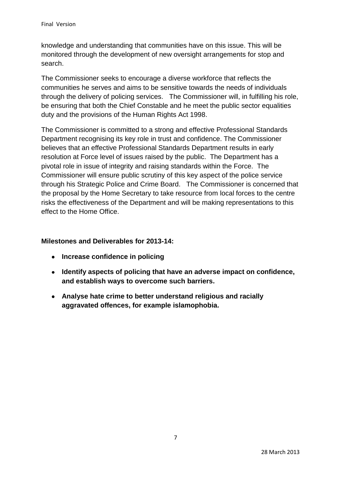knowledge and understanding that communities have on this issue. This will be monitored through the development of new oversight arrangements for stop and search.

The Commissioner seeks to encourage a diverse workforce that reflects the communities he serves and aims to be sensitive towards the needs of individuals through the delivery of policing services. The Commissioner will, in fulfilling his role, be ensuring that both the Chief Constable and he meet the public sector equalities duty and the provisions of the Human Rights Act 1998.

The Commissioner is committed to a strong and effective Professional Standards Department recognising its key role in trust and confidence. The Commissioner believes that an effective Professional Standards Department results in early resolution at Force level of issues raised by the public. The Department has a pivotal role in issue of integrity and raising standards within the Force. The Commissioner will ensure public scrutiny of this key aspect of the police service through his Strategic Police and Crime Board. The Commissioner is concerned that the proposal by the Home Secretary to take resource from local forces to the centre risks the effectiveness of the Department and will be making representations to this effect to the Home Office.

## **Milestones and Deliverables for 2013-14:**

- **Increase confidence in policing**
- **Identify aspects of policing that have an adverse impact on confidence, and establish ways to overcome such barriers.**
- **Analyse hate crime to better understand religious and racially aggravated offences, for example islamophobia.**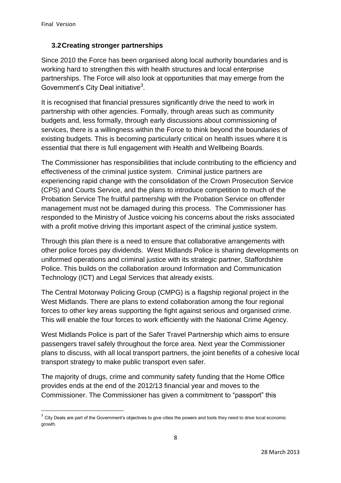**.** 

## **3.2Creating stronger partnerships**

Since 2010 the Force has been organised along local authority boundaries and is working hard to strengthen this with health structures and local enterprise partnerships. The Force will also look at opportunities that may emerge from the Government's City Deal initiative<sup>3</sup>.

It is recognised that financial pressures significantly drive the need to work in partnership with other agencies. Formally, through areas such as community budgets and, less formally, through early discussions about commissioning of services, there is a willingness within the Force to think beyond the boundaries of existing budgets. This is becoming particularly critical on health issues where it is essential that there is full engagement with Health and Wellbeing Boards.

The Commissioner has responsibilities that include contributing to the efficiency and effectiveness of the criminal justice system. Criminal justice partners are experiencing rapid change with the consolidation of the Crown Prosecution Service (CPS) and Courts Service, and the plans to introduce competition to much of the Probation Service The fruitful partnership with the Probation Service on offender management must not be damaged during this process. The Commissioner has responded to the Ministry of Justice voicing his concerns about the risks associated with a profit motive driving this important aspect of the criminal justice system.

Through this plan there is a need to ensure that collaborative arrangements with other police forces pay dividends. West Midlands Police is sharing developments on uniformed operations and criminal justice with its strategic partner, Staffordshire Police. This builds on the collaboration around Information and Communication Technology (ICT) and Legal Services that already exists.

The Central Motorway Policing Group (CMPG) is a flagship regional project in the West Midlands. There are plans to extend collaboration among the four regional forces to other key areas supporting the fight against serious and organised crime. This will enable the four forces to work efficiently with the National Crime Agency.

West Midlands Police is part of the Safer Travel Partnership which aims to ensure passengers travel safely throughout the force area. Next year the Commissioner plans to discuss, with all local transport partners, the joint benefits of a cohesive local transport strategy to make public transport even safer.

The majority of drugs, crime and community safety funding that the Home Office provides ends at the end of the 2012/13 financial year and moves to the Commissioner. The Commissioner has given a commitment to "passport" this

 $3$  City Deals are part of the Government's objectives to give cities the powers and tools they need to drive local economic growth.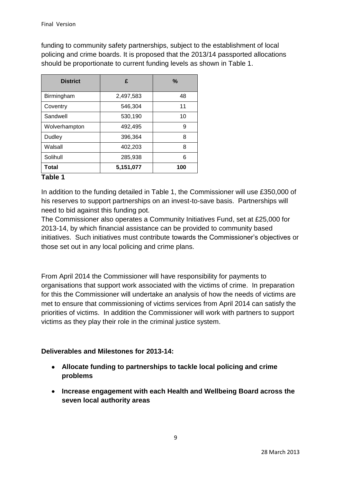funding to community safety partnerships, subject to the establishment of local policing and crime boards. It is proposed that the 2013/14 passported allocations should be proportionate to current funding levels as shown in Table 1.

| <b>District</b> | £         | $\%$ |
|-----------------|-----------|------|
| Birmingham      | 2,497,583 | 48   |
| Coventry        | 546,304   | 11   |
| Sandwell        | 530,190   | 10   |
| Wolverhampton   | 492,495   | 9    |
| Dudley          | 396,364   | 8    |
| Walsall         | 402,203   | 8    |
| Solihull        | 285,938   | 6    |
| Total           | 5,151,077 | 100  |

#### **Table 1**

In addition to the funding detailed in Table 1, the Commissioner will use £350,000 of his reserves to support partnerships on an invest-to-save basis. Partnerships will need to bid against this funding pot.

The Commissioner also operates a Community Initiatives Fund, set at £25,000 for 2013-14, by which financial assistance can be provided to community based initiatives. Such initiatives must contribute towards the Commissioner's objectives or those set out in any local policing and crime plans.

From April 2014 the Commissioner will have responsibility for payments to organisations that support work associated with the victims of crime. In preparation for this the Commissioner will undertake an analysis of how the needs of victims are met to ensure that commissioning of victims services from April 2014 can satisfy the priorities of victims. In addition the Commissioner will work with partners to support victims as they play their role in the criminal justice system.

## **Deliverables and Milestones for 2013-14:**

- **Allocate funding to partnerships to tackle local policing and crime problems**
- **Increase engagement with each Health and Wellbeing Board across the seven local authority areas**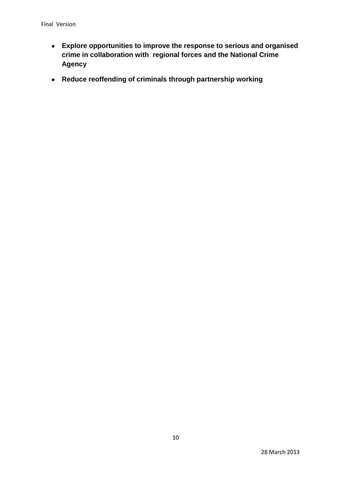- **Explore opportunities to improve the response to serious and organised crime in collaboration with regional forces and the National Crime Agency**
- **Reduce reoffending of criminals through partnership working**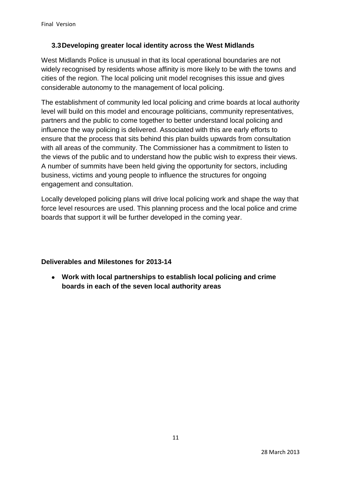## **3.3Developing greater local identity across the West Midlands**

West Midlands Police is unusual in that its local operational boundaries are not widely recognised by residents whose affinity is more likely to be with the towns and cities of the region. The local policing unit model recognises this issue and gives considerable autonomy to the management of local policing.

The establishment of community led local policing and crime boards at local authority level will build on this model and encourage politicians, community representatives, partners and the public to come together to better understand local policing and influence the way policing is delivered. Associated with this are early efforts to ensure that the process that sits behind this plan builds upwards from consultation with all areas of the community. The Commissioner has a commitment to listen to the views of the public and to understand how the public wish to express their views. A number of summits have been held giving the opportunity for sectors, including business, victims and young people to influence the structures for ongoing engagement and consultation.

Locally developed policing plans will drive local policing work and shape the way that force level resources are used. This planning process and the local police and crime boards that support it will be further developed in the coming year.

## **Deliverables and Milestones for 2013-14**

**Work with local partnerships to establish local policing and crime boards in each of the seven local authority areas**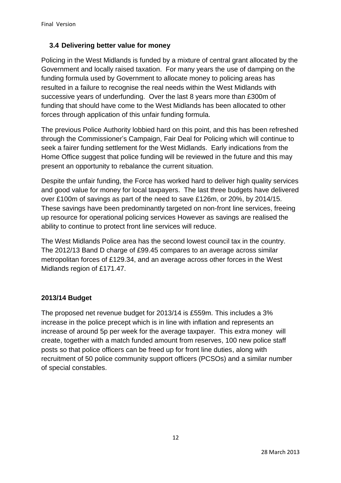## **3.4 Delivering better value for money**

Policing in the West Midlands is funded by a mixture of central grant allocated by the Government and locally raised taxation. For many years the use of damping on the funding formula used by Government to allocate money to policing areas has resulted in a failure to recognise the real needs within the West Midlands with successive years of underfunding. Over the last 8 years more than £300m of funding that should have come to the West Midlands has been allocated to other forces through application of this unfair funding formula.

The previous Police Authority lobbied hard on this point, and this has been refreshed through the Commissioner's Campaign, Fair Deal for Policing which will continue to seek a fairer funding settlement for the West Midlands. Early indications from the Home Office suggest that police funding will be reviewed in the future and this may present an opportunity to rebalance the current situation.

Despite the unfair funding, the Force has worked hard to deliver high quality services and good value for money for local taxpayers. The last three budgets have delivered over £100m of savings as part of the need to save £126m, or 20%, by 2014/15. These savings have been predominantly targeted on non-front line services, freeing up resource for operational policing services However as savings are realised the ability to continue to protect front line services will reduce.

The West Midlands Police area has the second lowest council tax in the country. The 2012/13 Band D charge of £99.45 compares to an average across similar metropolitan forces of £129.34, and an average across other forces in the West Midlands region of £171.47.

## **2013/14 Budget**

The proposed net revenue budget for 2013/14 is £559m. This includes a 3% increase in the police precept which is in line with inflation and represents an increase of around 5p per week for the average taxpayer. This extra money will create, together with a match funded amount from reserves, 100 new police staff posts so that police officers can be freed up for front line duties, along with recruitment of 50 police community support officers (PCSOs) and a similar number of special constables.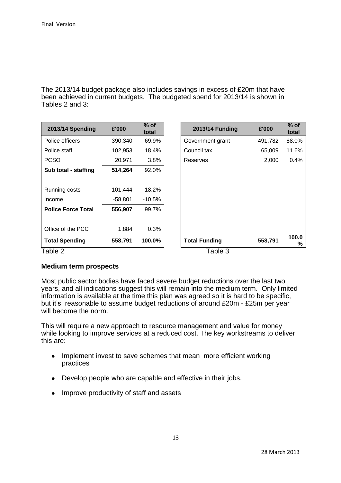The 2013/14 budget package also includes savings in excess of £20m that have been achieved in current budgets. The budgeted spend for 2013/14 is shown in Tables 2 and 3:

| 2013/14 Spending          | £'000   | $%$ of<br>total | 2013/14 Funding      | £'000   | $%$ of<br>total |  |
|---------------------------|---------|-----------------|----------------------|---------|-----------------|--|
| Police officers           | 390,340 | 69.9%           | Government grant     | 491,782 | 88.0%           |  |
| Police staff              | 102,953 | 18.4%           | Council tax          | 65,009  | 11.6%           |  |
| <b>PCSO</b>               | 20,971  | 3.8%            | Reserves             | 2,000   | 0.4%            |  |
| Sub total - staffing      | 514,264 | 92.0%           |                      |         |                 |  |
|                           |         |                 |                      |         |                 |  |
| Running costs             | 101,444 | 18.2%           |                      |         |                 |  |
| Income                    | -58,801 | -10.5%          |                      |         |                 |  |
| <b>Police Force Total</b> | 556,907 | 99.7%           |                      |         |                 |  |
|                           |         |                 |                      |         |                 |  |
| Office of the PCC         | 1,884   | 0.3%            |                      |         |                 |  |
| <b>Total Spending</b>     | 558,791 | 100.0%          | <b>Total Funding</b> | 558,791 | 100.0<br>℅      |  |
| Table 2                   |         | Table 3         |                      |         |                 |  |

#### **Medium term prospects**

Most public sector bodies have faced severe budget reductions over the last two years, and all indications suggest this will remain into the medium term. Only limited information is available at the time this plan was agreed so it is hard to be specific, but it's reasonable to assume budget reductions of around £20m - £25m per year will become the norm.

This will require a new approach to resource management and value for money while looking to improve services at a reduced cost. The key workstreams to deliver this are:

- Implement invest to save schemes that mean more efficient working practices
- Develop people who are capable and effective in their jobs.
- Improve productivity of staff and assets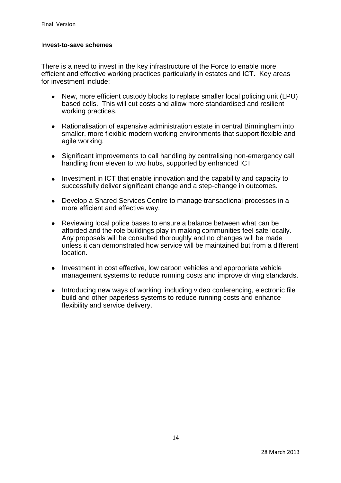#### I**nvest-to-save schemes**

There is a need to invest in the key infrastructure of the Force to enable more efficient and effective working practices particularly in estates and ICT. Key areas for investment include:

- New, more efficient custody blocks to replace smaller local policing unit (LPU) based cells. This will cut costs and allow more standardised and resilient working practices.
- $\bullet$ Rationalisation of expensive administration estate in central Birmingham into smaller, more flexible modern working environments that support flexible and agile working.
- Significant improvements to call handling by centralising non-emergency call  $\bullet$ handling from eleven to two hubs, supported by enhanced ICT
- $\bullet$ Investment in ICT that enable innovation and the capability and capacity to successfully deliver significant change and a step-change in outcomes.
- Develop a Shared Services Centre to manage transactional processes in a  $\bullet$ more efficient and effective way.
- $\bullet$ Reviewing local police bases to ensure a balance between what can be afforded and the role buildings play in making communities feel safe locally. Any proposals will be consulted thoroughly and no changes will be made unless it can demonstrated how service will be maintained but from a different location.
- Investment in cost effective, low carbon vehicles and appropriate vehicle management systems to reduce running costs and improve driving standards.
- Introducing new ways of working, including video conferencing, electronic file  $\bullet$ build and other paperless systems to reduce running costs and enhance flexibility and service delivery.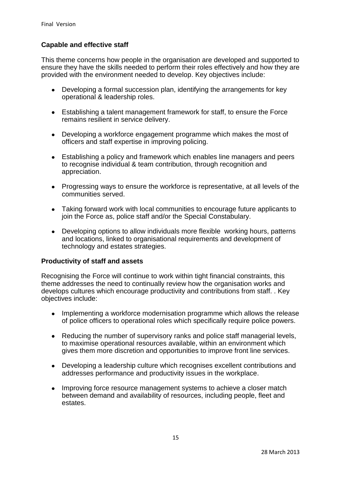#### **Capable and effective staff**

This theme concerns how people in the organisation are developed and supported to ensure they have the skills needed to perform their roles effectively and how they are provided with the environment needed to develop. Key objectives include:

- Developing a formal succession plan, identifying the arrangements for key operational & leadership roles.
- Establishing a talent management framework for staff, to ensure the Force remains resilient in service delivery.
- $\bullet$ Developing a workforce engagement programme which makes the most of officers and staff expertise in improving policing.
- Establishing a policy and framework which enables line managers and peers  $\bullet$ to recognise individual & team contribution, through recognition and appreciation.
- Progressing ways to ensure the workforce is representative, at all levels of the communities served.
- Taking forward work with local communities to encourage future applicants to join the Force as, police staff and/or the Special Constabulary.
- Developing options to allow individuals more flexible working hours, patterns  $\bullet$ and locations, linked to organisational requirements and development of technology and estates strategies.

#### **Productivity of staff and assets**

Recognising the Force will continue to work within tight financial constraints, this theme addresses the need to continually review how the organisation works and develops cultures which encourage productivity and contributions from staff. . Key objectives include:

- Implementing a workforce modernisation programme which allows the release  $\bullet$ of police officers to operational roles which specifically require police powers.
- Reducing the number of supervisory ranks and police staff managerial levels,  $\bullet$ to maximise operational resources available, within an environment which gives them more discretion and opportunities to improve front line services.
- $\bullet$ Developing a leadership culture which recognises excellent contributions and addresses performance and productivity issues in the workplace.
- $\bullet$ Improving force resource management systems to achieve a closer match between demand and availability of resources, including people, fleet and estates.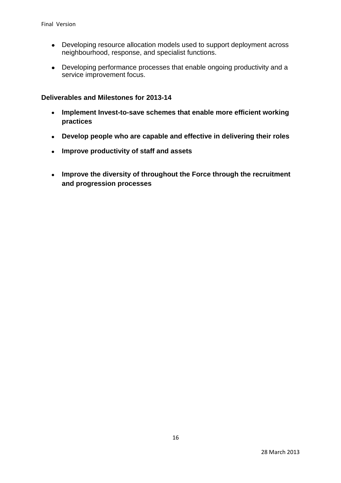- $\bullet$ Developing resource allocation models used to support deployment across neighbourhood, response, and specialist functions.
- Developing performance processes that enable ongoing productivity and a service improvement focus.

#### **Deliverables and Milestones for 2013-14**

- **Implement Invest-to-save schemes that enable more efficient working**   $\bullet$ **practices**
- **Develop people who are capable and effective in delivering their roles**
- $\bullet$ **Improve productivity of staff and assets**
- **Improve the diversity of throughout the Force through the recruitment**   $\bullet$ **and progression processes**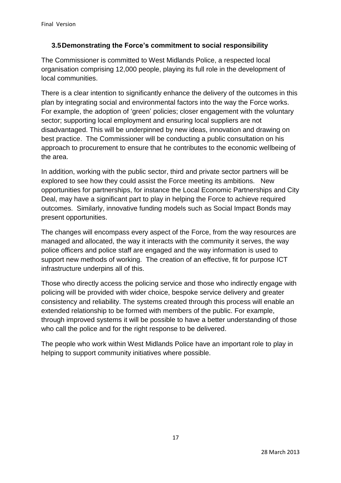## **3.5Demonstrating the Force's commitment to social responsibility**

The Commissioner is committed to West Midlands Police, a respected local organisation comprising 12,000 people, playing its full role in the development of local communities.

There is a clear intention to significantly enhance the delivery of the outcomes in this plan by integrating social and environmental factors into the way the Force works. For example, the adoption of 'green' policies; closer engagement with the voluntary sector; supporting local employment and ensuring local suppliers are not disadvantaged. This will be underpinned by new ideas, innovation and drawing on best practice. The Commissioner will be conducting a public consultation on his approach to procurement to ensure that he contributes to the economic wellbeing of the area.

In addition, working with the public sector, third and private sector partners will be explored to see how they could assist the Force meeting its ambitions. New opportunities for partnerships, for instance the Local Economic Partnerships and City Deal, may have a significant part to play in helping the Force to achieve required outcomes. Similarly, innovative funding models such as Social Impact Bonds may present opportunities.

The changes will encompass every aspect of the Force, from the way resources are managed and allocated, the way it interacts with the community it serves, the way police officers and police staff are engaged and the way information is used to support new methods of working. The creation of an effective, fit for purpose ICT infrastructure underpins all of this.

Those who directly access the policing service and those who indirectly engage with policing will be provided with wider choice, bespoke service delivery and greater consistency and reliability. The systems created through this process will enable an extended relationship to be formed with members of the public. For example, through improved systems it will be possible to have a better understanding of those who call the police and for the right response to be delivered.

The people who work within West Midlands Police have an important role to play in helping to support community initiatives where possible.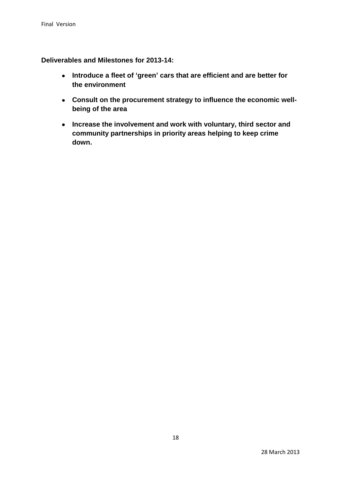**Deliverables and Milestones for 2013-14:**

- **Introduce a fleet of 'green' cars that are efficient and are better for the environment**
- **Consult on the procurement strategy to influence the economic wellbeing of the area**
- **Increase the involvement and work with voluntary, third sector and community partnerships in priority areas helping to keep crime down.**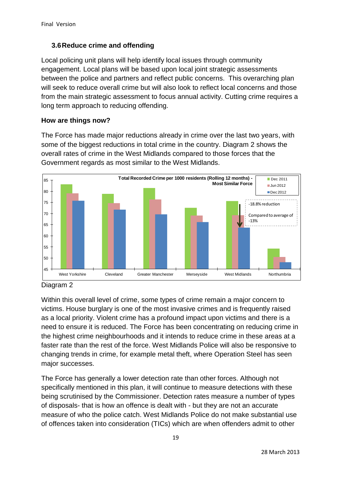## **3.6Reduce crime and offending**

Local policing unit plans will help identify local issues through community engagement. Local plans will be based upon local joint strategic assessments between the police and partners and reflect public concerns. This overarching plan will seek to reduce overall crime but will also look to reflect local concerns and those from the main strategic assessment to focus annual activity. Cutting crime requires a long term approach to reducing offending.

## **How are things now?**

The Force has made major reductions already in crime over the last two years, with some of the biggest reductions in total crime in the country. Diagram 2 shows the overall rates of crime in the West Midlands compared to those forces that the Government regards as most similar to the West Midlands.





Within this overall level of crime, some types of crime remain a major concern to victims. House burglary is one of the most invasive crimes and is frequently raised as a local priority. Violent crime has a profound impact upon victims and there is a need to ensure it is reduced. The Force has been concentrating on reducing crime in the highest crime neighbourhoods and it intends to reduce crime in these areas at a faster rate than the rest of the force. West Midlands Police will also be responsive to changing trends in crime, for example metal theft, where Operation Steel has seen major successes.

The Force has generally a lower detection rate than other forces. Although not specifically mentioned in this plan, it will continue to measure detections with these being scrutinised by the Commissioner. Detection rates measure a number of types of disposals- that is how an offence is dealt with - but they are not an accurate measure of who the police catch. West Midlands Police do not make substantial use of offences taken into consideration (TICs) which are when offenders admit to other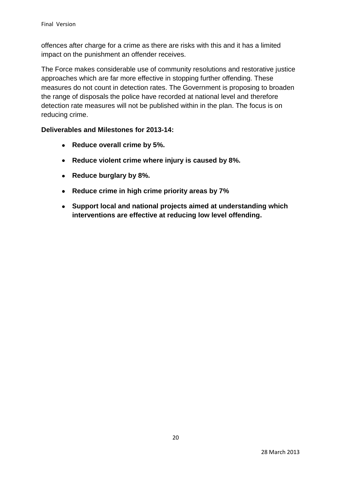offences after charge for a crime as there are risks with this and it has a limited impact on the punishment an offender receives.

The Force makes considerable use of community resolutions and restorative justice approaches which are far more effective in stopping further offending. These measures do not count in detection rates. The Government is proposing to broaden the range of disposals the police have recorded at national level and therefore detection rate measures will not be published within in the plan. The focus is on reducing crime.

## **Deliverables and Milestones for 2013-14:**

- **Reduce overall crime by 5%.**  $\bullet$
- **Reduce violent crime where injury is caused by 8%.**
- $\bullet$ **Reduce burglary by 8%.**
- **Reduce crime in high crime priority areas by 7%**  $\bullet$
- **Support local and national projects aimed at understanding which**   $\bullet$ **interventions are effective at reducing low level offending.**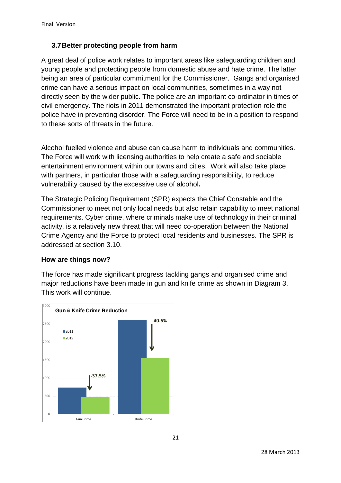## **3.7Better protecting people from harm**

A great deal of police work relates to important areas like safeguarding children and young people and protecting people from domestic abuse and hate crime. The latter being an area of particular commitment for the Commissioner. Gangs and organised crime can have a serious impact on local communities, sometimes in a way not directly seen by the wider public. The police are an important co-ordinator in times of civil emergency. The riots in 2011 demonstrated the important protection role the police have in preventing disorder. The Force will need to be in a position to respond to these sorts of threats in the future.

Alcohol fuelled violence and abuse can cause harm to individuals and communities. The Force will work with licensing authorities to help create a safe and sociable entertainment environment within our towns and cities. Work will also take place with partners, in particular those with a safeguarding responsibility, to reduce vulnerability caused by the excessive use of alcohol**.**

The Strategic Policing Requirement (SPR) expects the Chief Constable and the Commissioner to meet not only local needs but also retain capability to meet national requirements. Cyber crime, where criminals make use of technology in their criminal activity, is a relatively new threat that will need co-operation between the National Crime Agency and the Force to protect local residents and businesses. The SPR is addressed at section 3.10.

## **How are things now?**

The force has made significant progress tackling gangs and organised crime and major reductions have been made in gun and knife crime as shown in Diagram 3. This work will continue.

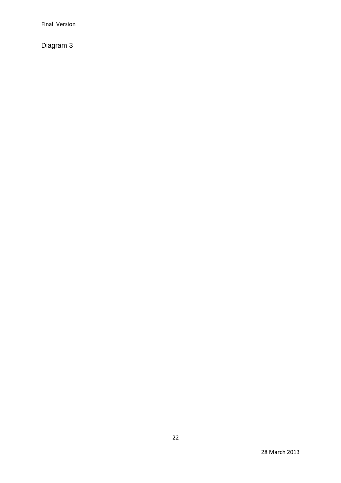Final Version

Diagram 3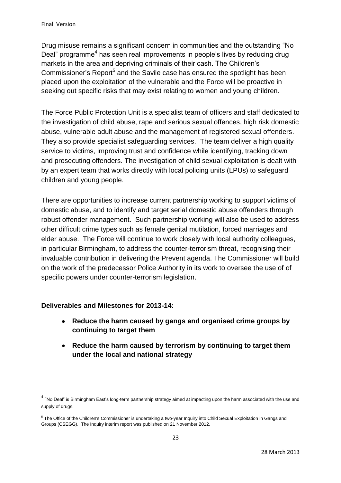Drug misuse remains a significant concern in communities and the outstanding "No Deal" programme<sup>4</sup> has seen real improvements in people's lives by reducing drug markets in the area and depriving criminals of their cash. The Children's Commissioner's Report<sup>5</sup> and the Savile case has ensured the spotlight has been placed upon the exploitation of the vulnerable and the Force will be proactive in seeking out specific risks that may exist relating to women and young children.

The Force Public Protection Unit is a specialist team of officers and staff dedicated to the investigation of child abuse, rape and serious sexual offences, high risk domestic abuse, vulnerable adult abuse and the management of registered sexual offenders. They also provide specialist safeguarding services. The team deliver a high quality service to victims, improving trust and confidence while identifying, tracking down and prosecuting offenders. The investigation of child sexual exploitation is dealt with by an expert team that works directly with local policing units (LPUs) to safeguard children and young people.

There are opportunities to increase current partnership working to support victims of domestic abuse, and to identify and target serial domestic abuse offenders through robust offender management. Such partnership working will also be used to address other difficult crime types such as female genital mutilation, forced marriages and elder abuse. The Force will continue to work closely with local authority colleagues, in particular Birmingham, to address the counter-terrorism threat, recognising their invaluable contribution in delivering the Prevent agenda. The Commissioner will build on the work of the predecessor Police Authority in its work to oversee the use of of specific powers under counter-terrorism legislation.

## **Deliverables and Milestones for 2013-14:**

**.** 

- **Reduce the harm caused by gangs and organised crime groups by**   $\bullet$ **continuing to target them**
- **Reduce the harm caused by terrorism by continuing to target them**   $\bullet$ **under the local and national strategy**

<sup>&</sup>lt;sup>4</sup> "No Deal" is Birmingham East's long-term partnership strategy aimed at impacting upon the harm associated with the use and supply of drugs.

<sup>&</sup>lt;sup>5</sup> The Office of the Children's Commissioner is undertaking a two-year Inquiry into Child Sexual Exploitation in Gangs and Groups (CSEGG). The Inquiry interim report was published on 21 November 2012.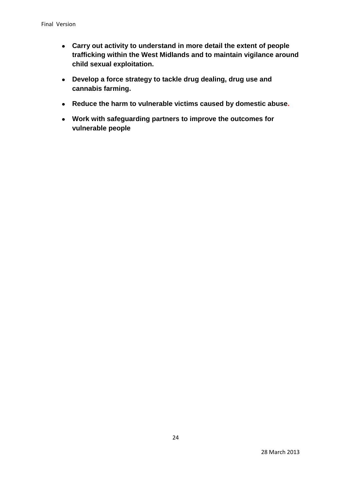- **Carry out activity to understand in more detail the extent of people trafficking within the West Midlands and to maintain vigilance around child sexual exploitation.**
- **Develop a force strategy to tackle drug dealing, drug use and cannabis farming.**
- **Reduce the harm to vulnerable victims caused by domestic abuse.**
- **Work with safeguarding partners to improve the outcomes for vulnerable people**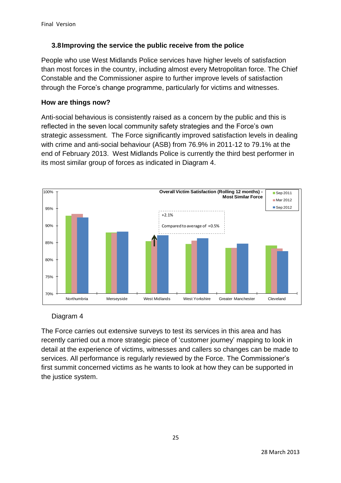## **3.8Improving the service the public receive from the police**

People who use West Midlands Police services have higher levels of satisfaction than most forces in the country, including almost every Metropolitan force. The Chief Constable and the Commissioner aspire to further improve levels of satisfaction through the Force's change programme, particularly for victims and witnesses.

#### **How are things now?**

Anti-social behavious is consistently raised as a concern by the public and this is reflected in the seven local community safety strategies and the Force's own strategic assessment. The Force significantly improved satisfaction levels in dealing with crime and anti-social behaviour (ASB) from 76.9% in 2011-12 to 79.1% at the end of February 2013. West Midlands Police is currently the third best performer in its most similar group of forces as indicated in Diagram 4.



## Diagram 4

The Force carries out extensive surveys to test its services in this area and has recently carried out a more strategic piece of 'customer journey' mapping to look in detail at the experience of victims, witnesses and callers so changes can be made to services. All performance is regularly reviewed by the Force. The Commissioner's first summit concerned victims as he wants to look at how they can be supported in the justice system.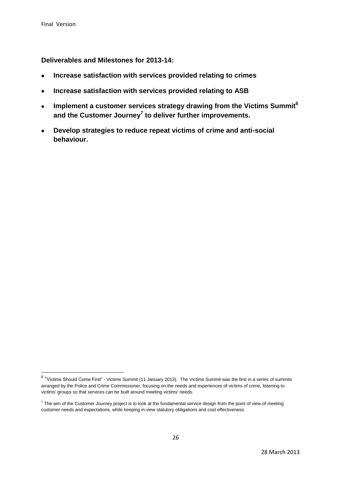**Deliverables and Milestones for 2013-14:**

- **Increase satisfaction with services provided relating to crimes**   $\bullet$
- **Increase satisfaction with services provided relating to ASB**   $\bullet$
- **Implement a customer services strategy drawing from the Victims Summit<sup>6</sup>**  $\bullet$ **and the Customer Journey<sup>7</sup> to deliver further improvements.**
- **Develop strategies to reduce repeat victims of crime and anti-social**   $\bullet$ **behaviour.**

 6 "Victims Should Come First" - Victims Summit (11 January 2013). The Victims Summit was the first in a series of summits arranged by the Police and Crime Commissioner, focusing on the needs and experiences of victims of crime, listening to victims' groups so that services can be built around meeting victims' needs.

 $^7$  The aim of the Customer Journey project is to look at the fundamental service design from the point of view of meeting customer needs and expectations, while keeping in view statutory obligations and cost effectiveness.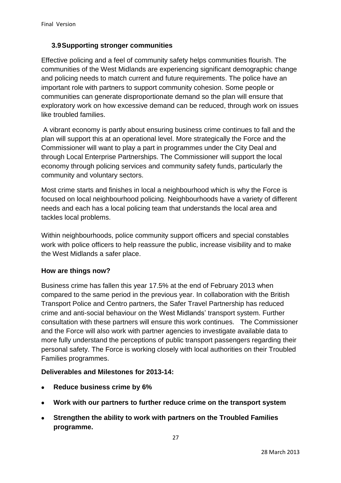## **3.9Supporting stronger communities**

Effective policing and a feel of community safety helps communities flourish. The communities of the West Midlands are experiencing significant demographic change and policing needs to match current and future requirements. The police have an important role with partners to support community cohesion. Some people or communities can generate disproportionate demand so the plan will ensure that exploratory work on how excessive demand can be reduced, through work on issues like troubled families.

A vibrant economy is partly about ensuring business crime continues to fall and the plan will support this at an operational level. More strategically the Force and the Commissioner will want to play a part in programmes under the City Deal and through Local Enterprise Partnerships. The Commissioner will support the local economy through policing services and community safety funds, particularly the community and voluntary sectors.

Most crime starts and finishes in local a neighbourhood which is why the Force is focused on local neighbourhood policing. Neighbourhoods have a variety of different needs and each has a local policing team that understands the local area and tackles local problems.

Within neighbourhoods, police community support officers and special constables work with police officers to help reassure the public, increase visibility and to make the West Midlands a safer place.

## **How are things now?**

Business crime has fallen this year 17.5% at the end of February 2013 when compared to the same period in the previous year. In collaboration with the British Transport Police and Centro partners, the Safer Travel Partnership has reduced crime and anti-social behaviour on the West Midlands' transport system. Further consultation with these partners will ensure this work continues. The Commissioner and the Force will also work with partner agencies to investigate available data to more fully understand the perceptions of public transport passengers regarding their personal safety. The Force is working closely with local authorities on their Troubled Families programmes.

## **Deliverables and Milestones for 2013-14:**

- **Reduce business crime by 6%**  $\bullet$
- **Work with our partners to further reduce crime on the transport system**   $\bullet$
- $\bullet$ **Strengthen the ability to work with partners on the Troubled Families programme.**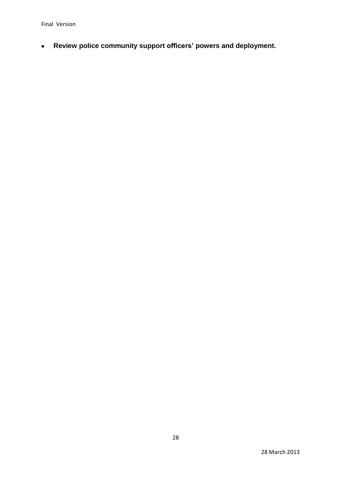Final Version

**Review police community support officers' powers and deployment.**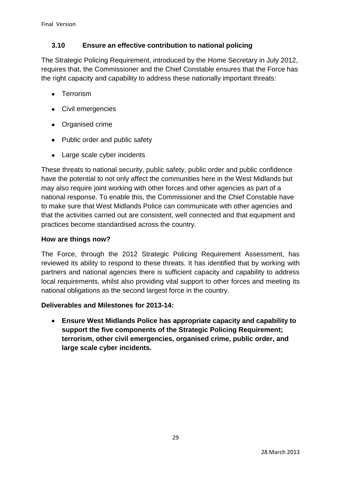## **3.10 Ensure an effective contribution to national policing**

The Strategic Policing Requirement, introduced by the Home Secretary in July 2012, requires that, the Commissioner and the Chief Constable ensures that the Force has the right capacity and capability to address these nationally important threats:

- **•** Terrorism
- Civil emergencies
- Organised crime
- Public order and public safety
- Large scale cyber incidents

These threats to national security, public safety, public order and public confidence have the potential to not only affect the communities here in the West Midlands but may also require joint working with other forces and other agencies as part of a national response. To enable this, the Commissioner and the Chief Constable have to make sure that West Midlands Police can communicate with other agencies and that the activities carried out are consistent, well connected and that equipment and practices become standardised across the country.

#### **How are things now?**

The Force, through the 2012 Strategic Policing Requirement Assessment, has reviewed its ability to respond to these threats. It has identified that by working with partners and national agencies there is sufficient capacity and capability to address local requirements, whilst also providing vital support to other forces and meeting its national obligations as the second largest force in the country.

#### **Deliverables and Milestones for 2013-14:**

 $\bullet$ **Ensure West Midlands Police has appropriate capacity and capability to support the five components of the Strategic Policing Requirement; terrorism, other civil emergencies, organised crime, public order, and large scale cyber incidents.**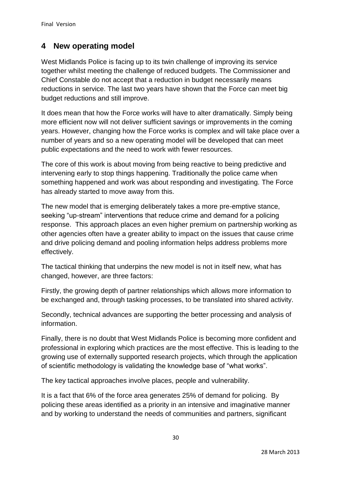## **4 New operating model**

West Midlands Police is facing up to its twin challenge of improving its service together whilst meeting the challenge of reduced budgets. The Commissioner and Chief Constable do not accept that a reduction in budget necessarily means reductions in service. The last two years have shown that the Force can meet big budget reductions and still improve.

It does mean that how the Force works will have to alter dramatically. Simply being more efficient now will not deliver sufficient savings or improvements in the coming years. However, changing how the Force works is complex and will take place over a number of years and so a new operating model will be developed that can meet public expectations and the need to work with fewer resources.

The core of this work is about moving from being reactive to being predictive and intervening early to stop things happening. Traditionally the police came when something happened and work was about responding and investigating. The Force has already started to move away from this.

The new model that is emerging deliberately takes a more pre-emptive stance, seeking "up-stream" interventions that reduce crime and demand for a policing response. This approach places an even higher premium on partnership working as other agencies often have a greater ability to impact on the issues that cause crime and drive policing demand and pooling information helps address problems more effectively.

The tactical thinking that underpins the new model is not in itself new, what has changed, however, are three factors:

Firstly, the growing depth of partner relationships which allows more information to be exchanged and, through tasking processes, to be translated into shared activity.

Secondly, technical advances are supporting the better processing and analysis of information.

Finally, there is no doubt that West Midlands Police is becoming more confident and professional in exploring which practices are the most effective. This is leading to the growing use of externally supported research projects, which through the application of scientific methodology is validating the knowledge base of "what works".

The key tactical approaches involve places, people and vulnerability.

It is a fact that 6% of the force area generates 25% of demand for policing. By policing these areas identified as a priority in an intensive and imaginative manner and by working to understand the needs of communities and partners, significant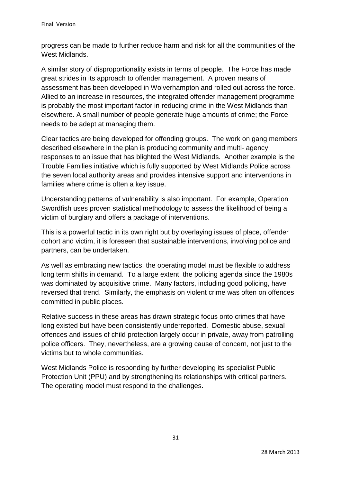progress can be made to further reduce harm and risk for all the communities of the West Midlands.

A similar story of disproportionality exists in terms of people. The Force has made great strides in its approach to offender management. A proven means of assessment has been developed in Wolverhampton and rolled out across the force. Allied to an increase in resources, the integrated offender management programme is probably the most important factor in reducing crime in the West Midlands than elsewhere. A small number of people generate huge amounts of crime; the Force needs to be adept at managing them.

Clear tactics are being developed for offending groups. The work on gang members described elsewhere in the plan is producing community and multi- agency responses to an issue that has blighted the West Midlands. Another example is the Trouble Families initiative which is fully supported by West Midlands Police across the seven local authority areas and provides intensive support and interventions in families where crime is often a key issue.

Understanding patterns of vulnerability is also important. For example, Operation Swordfish uses proven statistical methodology to assess the likelihood of being a victim of burglary and offers a package of interventions.

This is a powerful tactic in its own right but by overlaying issues of place, offender cohort and victim, it is foreseen that sustainable interventions, involving police and partners, can be undertaken.

As well as embracing new tactics, the operating model must be flexible to address long term shifts in demand. To a large extent, the policing agenda since the 1980s was dominated by acquisitive crime. Many factors, including good policing, have reversed that trend. Similarly, the emphasis on violent crime was often on offences committed in public places.

Relative success in these areas has drawn strategic focus onto crimes that have long existed but have been consistently underreported. Domestic abuse, sexual offences and issues of child protection largely occur in private, away from patrolling police officers. They, nevertheless, are a growing cause of concern, not just to the victims but to whole communities.

West Midlands Police is responding by further developing its specialist Public Protection Unit (PPU) and by strengthening its relationships with critical partners. The operating model must respond to the challenges.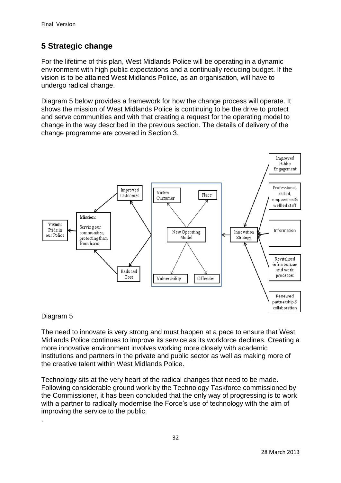# **5 Strategic change**

For the lifetime of this plan, West Midlands Police will be operating in a dynamic environment with high public expectations and a continually reducing budget. If the vision is to be attained West Midlands Police, as an organisation, will have to undergo radical change.

Diagram 5 below provides a framework for how the change process will operate. It shows the mission of West Midlands Police is continuing to be the drive to protect and serve communities and with that creating a request for the operating model to change in the way described in the previous section. The details of delivery of the change programme are covered in Section 3.



## Diagram 5

.

The need to innovate is very strong and must happen at a pace to ensure that West Midlands Police continues to improve its service as its workforce declines. Creating a more innovative environment involves working more closely with academic institutions and partners in the private and public sector as well as making more of the creative talent within West Midlands Police.

Technology sits at the very heart of the radical changes that need to be made. Following considerable ground work by the Technology Taskforce commissioned by the Commissioner, it has been concluded that the only way of progressing is to work with a partner to radically modernise the Force's use of technology with the aim of improving the service to the public.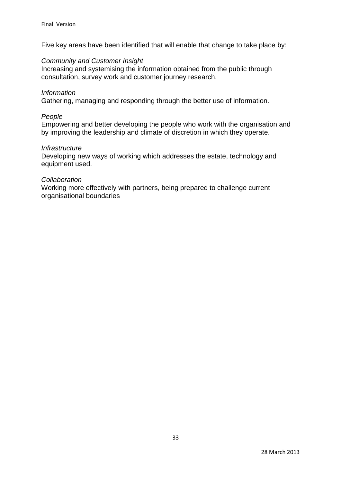Five key areas have been identified that will enable that change to take place by:

#### *Community and Customer Insight*

Increasing and systemising the information obtained from the public through consultation, survey work and customer journey research.

#### *Information*

Gathering, managing and responding through the better use of information.

#### *People*

Empowering and better developing the people who work with the organisation and by improving the leadership and climate of discretion in which they operate.

#### *Infrastructure*

Developing new ways of working which addresses the estate, technology and equipment used.

#### *Collaboration*

Working more effectively with partners, being prepared to challenge current organisational boundaries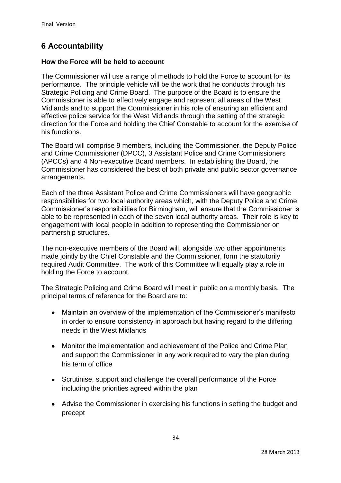# **6 Accountability**

#### **How the Force will be held to account**

The Commissioner will use a range of methods to hold the Force to account for its performance. The principle vehicle will be the work that he conducts through his Strategic Policing and Crime Board. The purpose of the Board is to ensure the Commissioner is able to effectively engage and represent all areas of the West Midlands and to support the Commissioner in his role of ensuring an efficient and effective police service for the West Midlands through the setting of the strategic direction for the Force and holding the Chief Constable to account for the exercise of his functions.

The Board will comprise 9 members, including the Commissioner, the Deputy Police and Crime Commissioner (DPCC), 3 Assistant Police and Crime Commissioners (APCCs) and 4 Non-executive Board members. In establishing the Board, the Commissioner has considered the best of both private and public sector governance arrangements.

Each of the three Assistant Police and Crime Commissioners will have geographic responsibilities for two local authority areas which, with the Deputy Police and Crime Commissioner's responsibilities for Birmingham, will ensure that the Commissioner is able to be represented in each of the seven local authority areas. Their role is key to engagement with local people in addition to representing the Commissioner on partnership structures.

The non-executive members of the Board will, alongside two other appointments made jointly by the Chief Constable and the Commissioner, form the statutorily required Audit Committee. The work of this Committee will equally play a role in holding the Force to account.

The Strategic Policing and Crime Board will meet in public on a monthly basis. The principal terms of reference for the Board are to:

- Maintain an overview of the implementation of the Commissioner's manifesto  $\bullet$ in order to ensure consistency in approach but having regard to the differing needs in the West Midlands
- $\bullet$ Monitor the implementation and achievement of the Police and Crime Plan and support the Commissioner in any work required to vary the plan during his term of office
- Scrutinise, support and challenge the overall performance of the Force including the priorities agreed within the plan
- Advise the Commissioner in exercising his functions in setting the budget and precept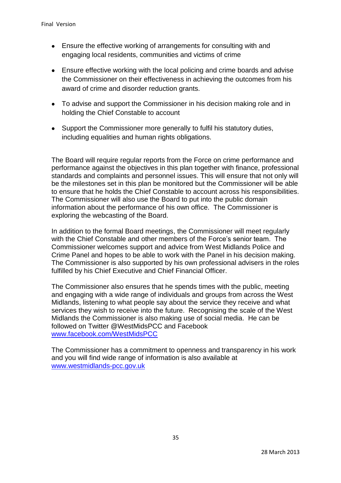- Ensure the effective working of arrangements for consulting with and engaging local residents, communities and victims of crime
- Ensure effective working with the local policing and crime boards and advise the Commissioner on their effectiveness in achieving the outcomes from his award of crime and disorder reduction grants.
- To advise and support the Commissioner in his decision making role and in holding the Chief Constable to account
- Support the Commissioner more generally to fulfil his statutory duties, including equalities and human rights obligations.

The Board will require regular reports from the Force on crime performance and performance against the objectives in this plan together with finance, professional standards and complaints and personnel issues. This will ensure that not only will be the milestones set in this plan be monitored but the Commissioner will be able to ensure that he holds the Chief Constable to account across his responsibilities. The Commissioner will also use the Board to put into the public domain information about the performance of his own office. The Commissioner is exploring the webcasting of the Board.

In addition to the formal Board meetings, the Commissioner will meet regularly with the Chief Constable and other members of the Force's senior team. The Commissioner welcomes support and advice from West Midlands Police and Crime Panel and hopes to be able to work with the Panel in his decision making. The Commissioner is also supported by his own professional advisers in the roles fulfilled by his Chief Executive and Chief Financial Officer.

The Commissioner also ensures that he spends times with the public, meeting and engaging with a wide range of individuals and groups from across the West Midlands, listening to what people say about the service they receive and what services they wish to receive into the future. Recognising the scale of the West Midlands the Commissioner is also making use of social media. He can be followed on Twitter @WestMidsPCC and Facebook [www.facebook.com/WestMidsPCC](http://www.facebook.com/WestMidsPCC)

The Commissioner has a commitment to openness and transparency in his work and you will find wide range of information is also available at [www.westmidlands-pcc.gov.uk](http://www.westmidlands-pcc.gov.uk/)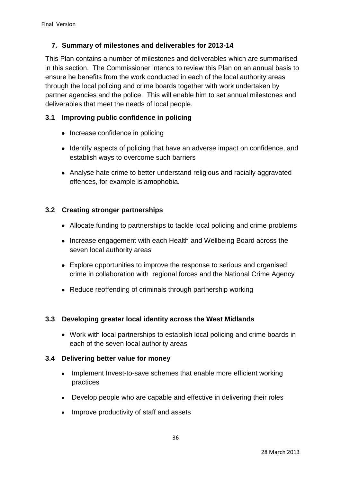## **7. Summary of milestones and deliverables for 2013-14**

This Plan contains a number of milestones and deliverables which are summarised in this section. The Commissioner intends to review this Plan on an annual basis to ensure he benefits from the work conducted in each of the local authority areas through the local policing and crime boards together with work undertaken by partner agencies and the police. This will enable him to set annual milestones and deliverables that meet the needs of local people.

## **3.1 Improving public confidence in policing**

- Increase confidence in policing
- Identify aspects of policing that have an adverse impact on confidence, and establish ways to overcome such barriers
- Analyse hate crime to better understand religious and racially aggravated offences, for example islamophobia.

## **3.2 Creating stronger partnerships**

- Allocate funding to partnerships to tackle local policing and crime problems
- Increase engagement with each Health and Wellbeing Board across the seven local authority areas
- Explore opportunities to improve the response to serious and organised crime in collaboration with regional forces and the National Crime Agency
- Reduce reoffending of criminals through partnership working

## **3.3 Developing greater local identity across the West Midlands**

Work with local partnerships to establish local policing and crime boards in each of the seven local authority areas

## **3.4 Delivering better value for money**

- Implement Invest-to-save schemes that enable more efficient working  $\bullet$ practices
- Develop people who are capable and effective in delivering their roles
- Improve productivity of staff and assets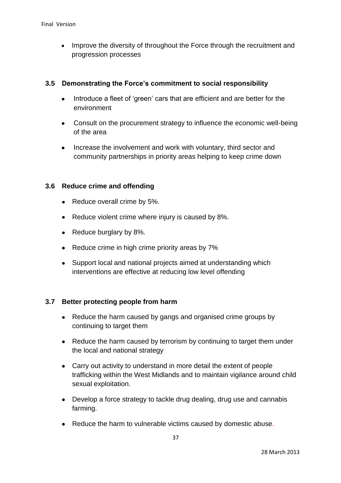Improve the diversity of throughout the Force through the recruitment and  $\bullet$ progression processes

#### **3.5 Demonstrating the Force's commitment to social responsibility**

- Introduce a fleet of 'green' cars that are efficient and are better for the  $\bullet$ environment
- Consult on the procurement strategy to influence the economic well-being  $\bullet$ of the area
- Increase the involvement and work with voluntary, third sector and community partnerships in priority areas helping to keep crime down

#### **3.6 Reduce crime and offending**

- Reduce overall crime by 5%.
- Reduce violent crime where injury is caused by 8%.  $\bullet$
- Reduce burglary by 8%.
- Reduce crime in high crime priority areas by 7%  $\bullet$
- Support local and national projects aimed at understanding which  $\bullet$ interventions are effective at reducing low level offending

#### **3.7 Better protecting people from harm**

- Reduce the harm caused by gangs and organised crime groups by continuing to target them
- Reduce the harm caused by terrorism by continuing to target them under the local and national strategy
- Carry out activity to understand in more detail the extent of people trafficking within the West Midlands and to maintain vigilance around child sexual exploitation.
- Develop a force strategy to tackle drug dealing, drug use and cannabis  $\bullet$ farming.
- Reduce the harm to vulnerable victims caused by domestic abuse.